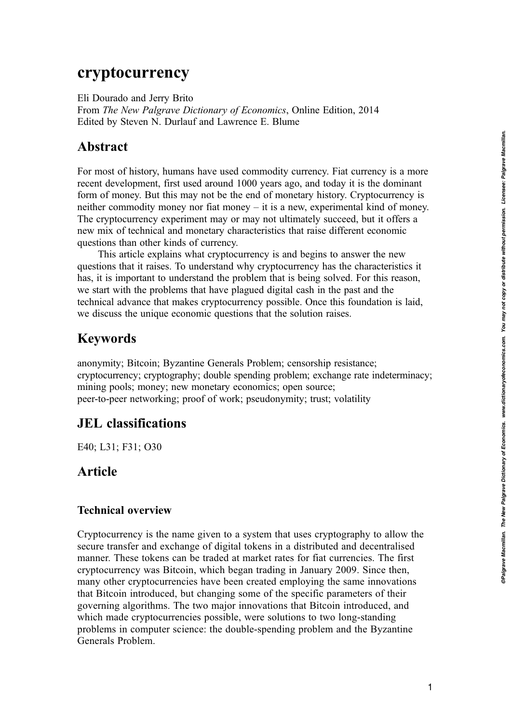# cryptocurrency

Eli Dourado and Jerry Brito

From The New Palgrave Dictionary of Economics, Online Edition, 2014 Edited by Steven N. Durlauf and Lawrence E. Blume

## Abstract

For most of history, humans have used commodity currency. Fiat currency is a more recent development, first used around 1000 years ago, and today it is the dominant form of money. But this may not be the end of monetary history. Cryptocurrency is neither commodity money nor fiat money – it is a new, experimental kind of money. The cryptocurrency experiment may or may not ultimately succeed, but it offers a new mix of technical and monetary characteristics that raise different economic questions than other kinds of currency.

This article explains what cryptocurrency is and begins to answer the new questions that it raises. To understand why cryptocurrency has the characteristics it has, it is important to understand the problem that is being solved. For this reason, we start with the problems that have plagued digital cash in the past and the technical advance that makes cryptocurrency possible. Once this foundation is laid, we discuss the unique economic questions that the solution raises.

## Keywords

anonymity; Bitcoin; Byzantine Generals Problem; censorship resistance; cryptocurrency; cryptography; double spending problem; exchange rate indeterminacy; mining pools; money; new monetary economics; open source; peer-to-peer networking; proof of work; pseudonymity; trust; volatility

# JEL classifications

E40; L31; F31; O30

## Article

### Technical overview

Cryptocurrency is the name given to a system that uses cryptography to allow the secure transfer and exchange of digital tokens in a distributed and decentralised manner. These tokens can be traded at market rates for fiat currencies. The first cryptocurrency was Bitcoin, which began trading in January 2009. Since then, many other cryptocurrencies have been created employing the same innovations that Bitcoin introduced, but changing some of the specific parameters of their governing algorithms. The two major innovations that Bitcoin introduced, and which made cryptocurrencies possible, were solutions to two long-standing problems in computer science: the double-spending problem and the Byzantine Generals Problem.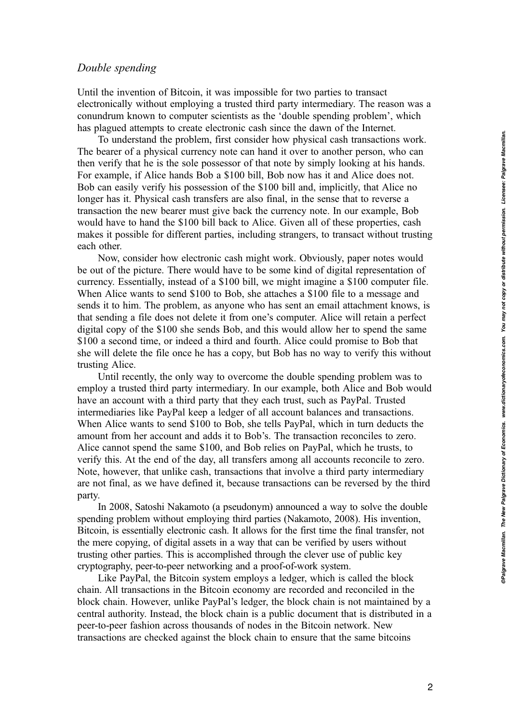#### Double spending

Until the invention of Bitcoin, it was impossible for two parties to transact electronically without employing a trusted third party intermediary. The reason was a conundrum known to computer scientists as the 'double spending problem', which has plagued attempts to create electronic cash since the dawn of the Internet.

To understand the problem, first consider how physical cash transactions work. The bearer of a physical currency note can hand it over to another person, who can then verify that he is the sole possessor of that note by simply looking at his hands. For example, if Alice hands Bob a \$100 bill, Bob now has it and Alice does not. Bob can easily verify his possession of the \$100 bill and, implicitly, that Alice no longer has it. Physical cash transfers are also final, in the sense that to reverse a transaction the new bearer must give back the currency note. In our example, Bob would have to hand the \$100 bill back to Alice. Given all of these properties, cash makes it possible for different parties, including strangers, to transact without trusting each other.

Now, consider how electronic cash might work. Obviously, paper notes would be out of the picture. There would have to be some kind of digital representation of currency. Essentially, instead of a \$100 bill, we might imagine a \$100 computer file. When Alice wants to send \$100 to Bob, she attaches a \$100 file to a message and sends it to him. The problem, as anyone who has sent an email attachment knows, is that sending a file does not delete it from one's computer. Alice will retain a perfect digital copy of the \$100 she sends Bob, and this would allow her to spend the same \$100 a second time, or indeed a third and fourth. Alice could promise to Bob that she will delete the file once he has a copy, but Bob has no way to verify this without trusting Alice.

Until recently, the only way to overcome the double spending problem was to employ a trusted third party intermediary. In our example, both Alice and Bob would have an account with a third party that they each trust, such as PayPal. Trusted intermediaries like PayPal keep a ledger of all account balances and transactions. When Alice wants to send \$100 to Bob, she tells PayPal, which in turn deducts the amount from her account and adds it to Bob's. The transaction reconciles to zero. Alice cannot spend the same \$100, and Bob relies on PayPal, which he trusts, to verify this. At the end of the day, all transfers among all accounts reconcile to zero. Note, however, that unlike cash, transactions that involve a third party intermediary are not final, as we have defined it, because transactions can be reversed by the third party.

In 2008, Satoshi Nakamoto (a pseudonym) announced a way to solve the double spending problem without employing third parties (Nakamoto, 2008). His invention, Bitcoin, is essentially electronic cash. It allows for the first time the final transfer, not the mere copying, of digital assets in a way that can be verified by users without trusting other parties. This is accomplished through the clever use of public key cryptography, peer-to-peer networking and a proof-of-work system.

Like PayPal, the Bitcoin system employs a ledger, which is called the block chain. All transactions in the Bitcoin economy are recorded and reconciled in the block chain. However, unlike PayPal's ledger, the block chain is not maintained by a central authority. Instead, the block chain is a public document that is distributed in a peer-to-peer fashion across thousands of nodes in the Bitcoin network. New transactions are checked against the block chain to ensure that the same bitcoins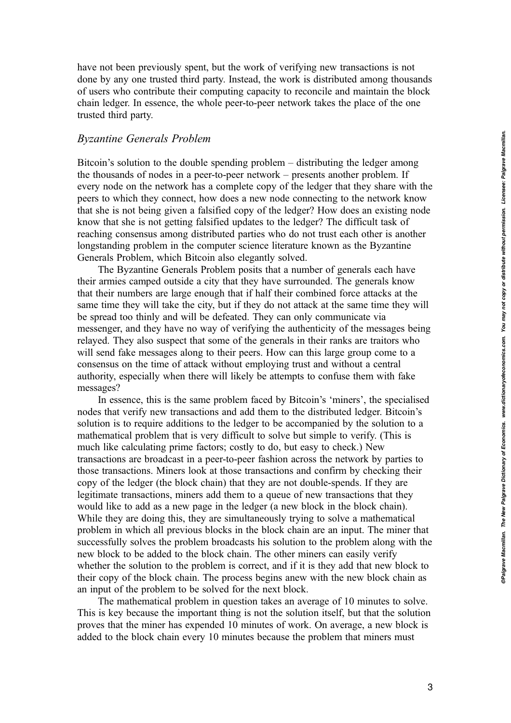have not been previously spent, but the work of verifying new transactions is not done by any one trusted third party. Instead, the work is distributed among thousands of users who contribute their computing capacity to reconcile and maintain the block chain ledger. In essence, the whole peer-to-peer network takes the place of the one trusted third party.

#### Byzantine Generals Problem

Bitcoin's solution to the double spending problem – distributing the ledger among the thousands of nodes in a peer-to-peer network – presents another problem. If every node on the network has a complete copy of the ledger that they share with the peers to which they connect, how does a new node connecting to the network know that she is not being given a falsified copy of the ledger? How does an existing node know that she is not getting falsified updates to the ledger? The difficult task of reaching consensus among distributed parties who do not trust each other is another longstanding problem in the computer science literature known as the Byzantine Generals Problem, which Bitcoin also elegantly solved.

The Byzantine Generals Problem posits that a number of generals each have their armies camped outside a city that they have surrounded. The generals know that their numbers are large enough that if half their combined force attacks at the same time they will take the city, but if they do not attack at the same time they will be spread too thinly and will be defeated. They can only communicate via messenger, and they have no way of verifying the authenticity of the messages being relayed. They also suspect that some of the generals in their ranks are traitors who will send fake messages along to their peers. How can this large group come to a consensus on the time of attack without employing trust and without a central authority, especially when there will likely be attempts to confuse them with fake messages?

In essence, this is the same problem faced by Bitcoin's 'miners', the specialised nodes that verify new transactions and add them to the distributed ledger. Bitcoin's solution is to require additions to the ledger to be accompanied by the solution to a mathematical problem that is very difficult to solve but simple to verify. (This is much like calculating prime factors; costly to do, but easy to check.) New transactions are broadcast in a peer-to-peer fashion across the network by parties to those transactions. Miners look at those transactions and confirm by checking their copy of the ledger (the block chain) that they are not double-spends. If they are legitimate transactions, miners add them to a queue of new transactions that they would like to add as a new page in the ledger (a new block in the block chain). While they are doing this, they are simultaneously trying to solve a mathematical problem in which all previous blocks in the block chain are an input. The miner that successfully solves the problem broadcasts his solution to the problem along with the new block to be added to the block chain. The other miners can easily verify whether the solution to the problem is correct, and if it is they add that new block to their copy of the block chain. The process begins anew with the new block chain as an input of the problem to be solved for the next block.

The mathematical problem in question takes an average of 10 minutes to solve. This is key because the important thing is not the solution itself, but that the solution proves that the miner has expended 10 minutes of work. On average, a new block is added to the block chain every 10 minutes because the problem that miners must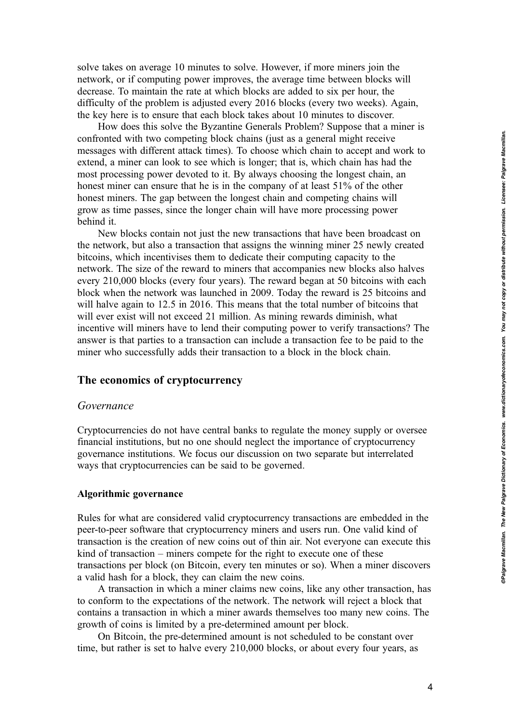solve takes on average 10 minutes to solve. However, if more miners join the network, or if computing power improves, the average time between blocks will decrease. To maintain the rate at which blocks are added to six per hour, the difficulty of the problem is adjusted every 2016 blocks (every two weeks). Again, the key here is to ensure that each block takes about 10 minutes to discover.

How does this solve the Byzantine Generals Problem? Suppose that a miner is confronted with two competing block chains (just as a general might receive messages with different attack times). To choose which chain to accept and work to extend, a miner can look to see which is longer; that is, which chain has had the most processing power devoted to it. By always choosing the longest chain, an honest miner can ensure that he is in the company of at least 51% of the other honest miners. The gap between the longest chain and competing chains will grow as time passes, since the longer chain will have more processing power behind it.

New blocks contain not just the new transactions that have been broadcast on the network, but also a transaction that assigns the winning miner 25 newly created bitcoins, which incentivises them to dedicate their computing capacity to the network. The size of the reward to miners that accompanies new blocks also halves every 210,000 blocks (every four years). The reward began at 50 bitcoins with each block when the network was launched in 2009. Today the reward is 25 bitcoins and will halve again to 12.5 in 2016. This means that the total number of bitcoins that will ever exist will not exceed 21 million. As mining rewards diminish, what incentive will miners have to lend their computing power to verify transactions? The answer is that parties to a transaction can include a transaction fee to be paid to the miner who successfully adds their transaction to a block in the block chain.

#### The economics of cryptocurrency

#### Governance

Cryptocurrencies do not have central banks to regulate the money supply or oversee financial institutions, but no one should neglect the importance of cryptocurrency governance institutions. We focus our discussion on two separate but interrelated ways that cryptocurrencies can be said to be governed.

#### Algorithmic governance

Rules for what are considered valid cryptocurrency transactions are embedded in the peer-to-peer software that cryptocurrency miners and users run. One valid kind of transaction is the creation of new coins out of thin air. Not everyone can execute this kind of transaction – miners compete for the right to execute one of these transactions per block (on Bitcoin, every ten minutes or so). When a miner discovers a valid hash for a block, they can claim the new coins.

A transaction in which a miner claims new coins, like any other transaction, has to conform to the expectations of the network. The network will reject a block that contains a transaction in which a miner awards themselves too many new coins. The growth of coins is limited by a pre-determined amount per block.

On Bitcoin, the pre-determined amount is not scheduled to be constant over time, but rather is set to halve every 210,000 blocks, or about every four years, as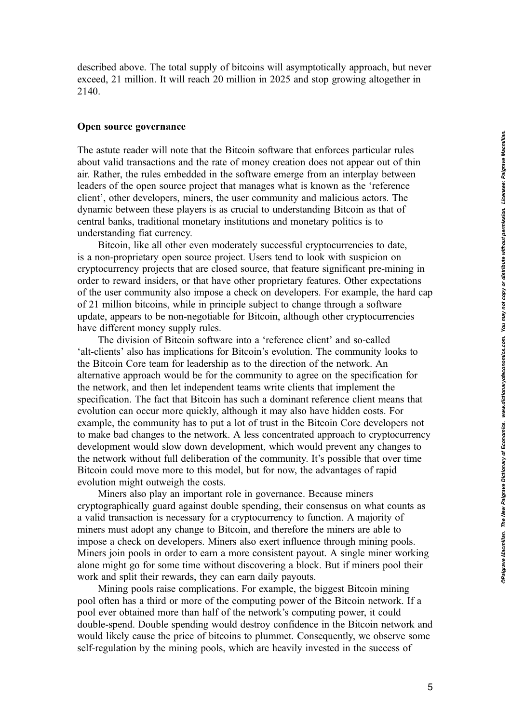described above. The total supply of bitcoins will asymptotically approach, but never exceed, 21 million. It will reach 20 million in 2025 and stop growing altogether in 2140.

#### Open source governance

The astute reader will note that the Bitcoin software that enforces particular rules about valid transactions and the rate of money creation does not appear out of thin air. Rather, the rules embedded in the software emerge from an interplay between leaders of the open source project that manages what is known as the 'reference client', other developers, miners, the user community and malicious actors. The dynamic between these players is as crucial to understanding Bitcoin as that of central banks, traditional monetary institutions and monetary politics is to understanding fiat currency.

Bitcoin, like all other even moderately successful cryptocurrencies to date, is a non-proprietary open source project. Users tend to look with suspicion on cryptocurrency projects that are closed source, that feature significant pre-mining in order to reward insiders, or that have other proprietary features. Other expectations of the user community also impose a check on developers. For example, the hard cap of 21 million bitcoins, while in principle subject to change through a software update, appears to be non-negotiable for Bitcoin, although other cryptocurrencies have different money supply rules.

The division of Bitcoin software into a 'reference client' and so-called 'alt-clients' also has implications for Bitcoin's evolution. The community looks to the Bitcoin Core team for leadership as to the direction of the network. An alternative approach would be for the community to agree on the specification for the network, and then let independent teams write clients that implement the specification. The fact that Bitcoin has such a dominant reference client means that evolution can occur more quickly, although it may also have hidden costs. For example, the community has to put a lot of trust in the Bitcoin Core developers not to make bad changes to the network. A less concentrated approach to cryptocurrency development would slow down development, which would prevent any changes to the network without full deliberation of the community. It's possible that over time Bitcoin could move more to this model, but for now, the advantages of rapid evolution might outweigh the costs.

Miners also play an important role in governance. Because miners cryptographically guard against double spending, their consensus on what counts as a valid transaction is necessary for a cryptocurrency to function. A majority of miners must adopt any change to Bitcoin, and therefore the miners are able to impose a check on developers. Miners also exert influence through mining pools. Miners join pools in order to earn a more consistent payout. A single miner working alone might go for some time without discovering a block. But if miners pool their work and split their rewards, they can earn daily payouts.

Mining pools raise complications. For example, the biggest Bitcoin mining pool often has a third or more of the computing power of the Bitcoin network. If a pool ever obtained more than half of the network's computing power, it could double-spend. Double spending would destroy confidence in the Bitcoin network and would likely cause the price of bitcoins to plummet. Consequently, we observe some self-regulation by the mining pools, which are heavily invested in the success of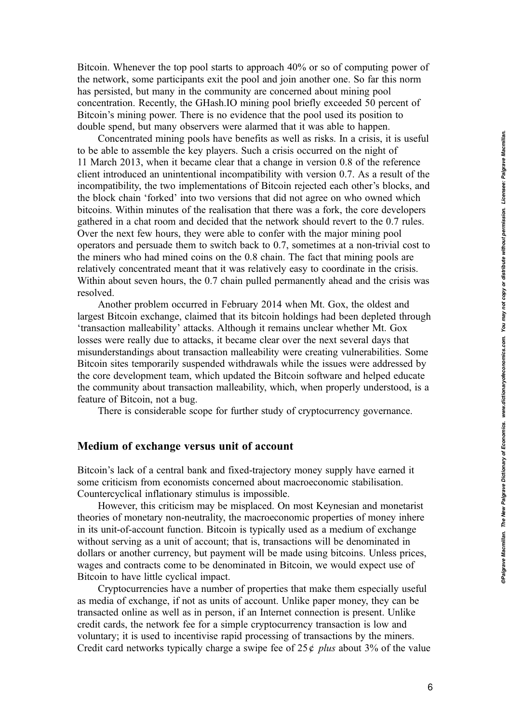Bitcoin. Whenever the top pool starts to approach 40% or so of computing power of the network, some participants exit the pool and join another one. So far this norm has persisted, but many in the community are concerned about mining pool concentration. Recently, the GHash.IO mining pool briefly exceeded 50 percent of Bitcoin's mining power. There is no evidence that the pool used its position to double spend, but many observers were alarmed that it was able to happen.

Concentrated mining pools have benefits as well as risks. In a crisis, it is useful to be able to assemble the key players. Such a crisis occurred on the night of 11 March 2013, when it became clear that a change in version 0.8 of the reference client introduced an unintentional incompatibility with version 0.7. As a result of the incompatibility, the two implementations of Bitcoin rejected each other's blocks, and the block chain 'forked' into two versions that did not agree on who owned which bitcoins. Within minutes of the realisation that there was a fork, the core developers gathered in a chat room and decided that the network should revert to the 0.7 rules. Over the next few hours, they were able to confer with the major mining pool operators and persuade them to switch back to 0.7, sometimes at a non-trivial cost to the miners who had mined coins on the 0.8 chain. The fact that mining pools are relatively concentrated meant that it was relatively easy to coordinate in the crisis. Within about seven hours, the 0.7 chain pulled permanently ahead and the crisis was resolved.

Another problem occurred in February 2014 when Mt. Gox, the oldest and largest Bitcoin exchange, claimed that its bitcoin holdings had been depleted through 'transaction malleability' attacks. Although it remains unclear whether Mt. Gox losses were really due to attacks, it became clear over the next several days that misunderstandings about transaction malleability were creating vulnerabilities. Some Bitcoin sites temporarily suspended withdrawals while the issues were addressed by the core development team, which updated the Bitcoin software and helped educate the community about transaction malleability, which, when properly understood, is a feature of Bitcoin, not a bug.

There is considerable scope for further study of cryptocurrency governance.

#### Medium of exchange versus unit of account

Bitcoin's lack of a central bank and fixed-trajectory money supply have earned it some criticism from economists concerned about macroeconomic stabilisation. Countercyclical inflationary stimulus is impossible.

However, this criticism may be misplaced. On most Keynesian and monetarist theories of monetary non-neutrality, the macroeconomic properties of money inhere in its unit-of-account function. Bitcoin is typically used as a medium of exchange without serving as a unit of account; that is, transactions will be denominated in dollars or another currency, but payment will be made using bitcoins. Unless prices, wages and contracts come to be denominated in Bitcoin, we would expect use of Bitcoin to have little cyclical impact.

Cryptocurrencies have a number of properties that make them especially useful as media of exchange, if not as units of account. Unlike paper money, they can be transacted online as well as in person, if an Internet connection is present. Unlike credit cards, the network fee for a simple cryptocurrency transaction is low and voluntary; it is used to incentivise rapid processing of transactions by the miners. Credit card networks typically charge a swipe fee of  $25 \notin plus$  about 3% of the value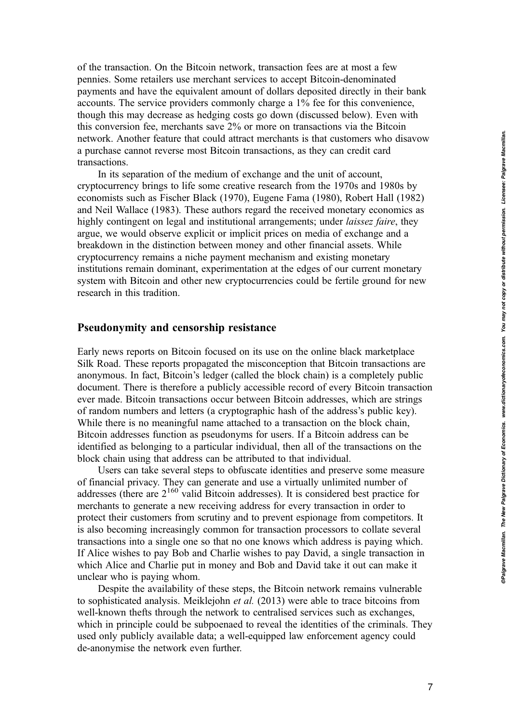of the transaction. On the Bitcoin network, transaction fees are at most a few pennies. Some retailers use merchant services to accept Bitcoin-denominated payments and have the equivalent amount of dollars deposited directly in their bank accounts. The service providers commonly charge a 1% fee for this convenience, though this may decrease as hedging costs go down (discussed below). Even with this conversion fee, merchants save 2% or more on transactions via the Bitcoin network. Another feature that could attract merchants is that customers who disavow a purchase cannot reverse most Bitcoin transactions, as they can credit card transactions. In its separation of the medium of exchange and the unit of account,

cryptocurrency brings to life some creative research from the 1970s and 1980s by economists such as Fischer Black (1970), Eugene Fama (1980), Robert Hall (1982) and Neil Wallace (1983). These authors regard the received monetary economics as highly contingent on legal and institutional arrangements; under *laissez faire*, they argue, we would observe explicit or implicit prices on media of exchange and a breakdown in the distinction between money and other financial assets. While cryptocurrency remains a niche payment mechanism and existing monetary institutions remain dominant, experimentation at the edges of our current monetary system with Bitcoin and other new cryptocurrencies could be fertile ground for new research in this tradition.

#### Pseudonymity and censorship resistance

Early news reports on Bitcoin focused on its use on the online black marketplace Silk Road. These reports propagated the misconception that Bitcoin transactions are anonymous. In fact, Bitcoin's ledger (called the block chain) is a completely public document. There is therefore a publicly accessible record of every Bitcoin transaction ever made. Bitcoin transactions occur between Bitcoin addresses, which are strings of random numbers and letters (a cryptographic hash of the address's public key). While there is no meaningful name attached to a transaction on the block chain, Bitcoin addresses function as pseudonyms for users. If a Bitcoin address can be identified as belonging to a particular individual, then all of the transactions on the block chain using that address can be attributed to that individual.

Users can take several steps to obfuscate identities and preserve some measure of financial privacy. They can generate and use a virtually unlimited number of addresses (there are  $2^{160}$  valid Bitcoin addresses). It is considered best practice for merchants to generate a new receiving address for every transaction in order to protect their customers from scrutiny and to prevent espionage from competitors. It is also becoming increasingly common for transaction processors to collate several transactions into a single one so that no one knows which address is paying which. If Alice wishes to pay Bob and Charlie wishes to pay David, a single transaction in which Alice and Charlie put in money and Bob and David take it out can make it unclear who is paying whom.

Despite the availability of these steps, the Bitcoin network remains vulnerable to sophisticated analysis. Meiklejohn et al. (2013) were able to trace bitcoins from well-known thefts through the network to centralised services such as exchanges, which in principle could be subpoenaed to reveal the identities of the criminals. They used only publicly available data; a well-equipped law enforcement agency could de-anonymise the network even further.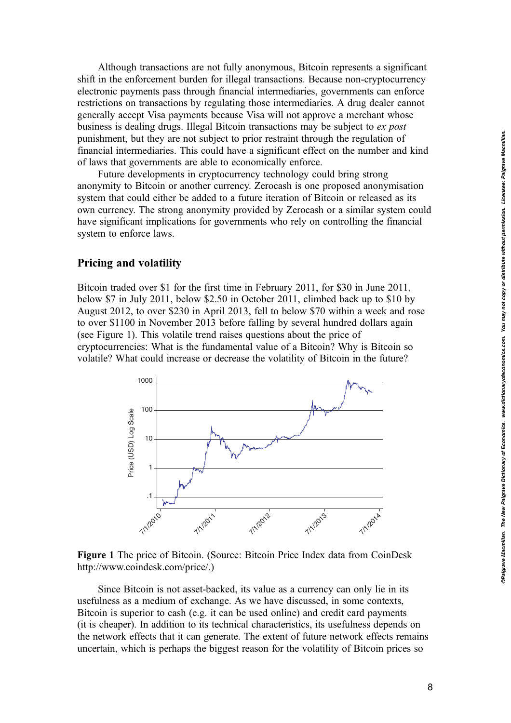Although transactions are not fully anonymous, Bitcoin represents a significant shift in the enforcement burden for illegal transactions. Because non-cryptocurrency electronic payments pass through financial intermediaries, governments can enforce restrictions on transactions by regulating those intermediaries. A drug dealer cannot generally accept Visa payments because Visa will not approve a merchant whose business is dealing drugs. Illegal Bitcoin transactions may be subject to ex post punishment, but they are not subject to prior restraint through the regulation of financial intermediaries. This could have a significant effect on the number and kind of laws that governments are able to economically enforce.

Future developments in cryptocurrency technology could bring strong anonymity to Bitcoin or another currency. Zerocash is one proposed anonymisation system that could either be added to a future iteration of Bitcoin or released as its own currency. The strong anonymity provided by Zerocash or a similar system could have significant implications for governments who rely on controlling the financial system to enforce laws.

#### Pricing and volatility

Bitcoin traded over \$1 for the first time in February 2011, for \$30 in June 2011, below \$7 in July 2011, below \$2.50 in October 2011, climbed back up to \$10 by August 2012, to over \$230 in April 2013, fell to below \$70 within a week and rose to over \$1100 in November 2013 before falling by several hundred dollars again (see Figure 1). This volatile trend raises questions about the price of cryptocurrencies: What is the fundamental value of a Bitcoin? Why is Bitcoin so volatile? What could increase or decrease the volatility of Bitcoin in the future?



Figure 1 The price of Bitcoin. (Source: Bitcoin Price Index data from CoinDesk http://www.coindesk.com/price/.)

Since Bitcoin is not asset-backed, its value as a currency can only lie in its usefulness as a medium of exchange. As we have discussed, in some contexts, Bitcoin is superior to cash (e.g. it can be used online) and credit card payments (it is cheaper). In addition to its technical characteristics, its usefulness depends on the network effects that it can generate. The extent of future network effects remains uncertain, which is perhaps the biggest reason for the volatility of Bitcoin prices so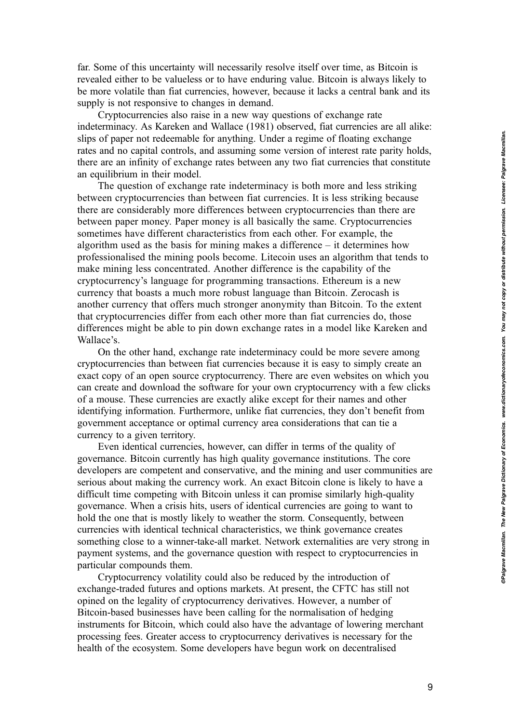far. Some of this uncertainty will necessarily resolve itself over time, as Bitcoin is revealed either to be valueless or to have enduring value. Bitcoin is always likely to be more volatile than fiat currencies, however, because it lacks a central bank and its supply is not responsive to changes in demand.

Cryptocurrencies also raise in a new way questions of exchange rate indeterminacy. As Kareken and Wallace (1981) observed, fiat currencies are all alike: slips of paper not redeemable for anything. Under a regime of floating exchange rates and no capital controls, and assuming some version of interest rate parity holds, there are an infinity of exchange rates between any two fiat currencies that constitute an equilibrium in their model.

The question of exchange rate indeterminacy is both more and less striking between cryptocurrencies than between fiat currencies. It is less striking because there are considerably more differences between cryptocurrencies than there are between paper money. Paper money is all basically the same. Cryptocurrencies sometimes have different characteristics from each other. For example, the algorithm used as the basis for mining makes a difference – it determines how professionalised the mining pools become. Litecoin uses an algorithm that tends to make mining less concentrated. Another difference is the capability of the cryptocurrency's language for programming transactions. Ethereum is a new currency that boasts a much more robust language than Bitcoin. Zerocash is another currency that offers much stronger anonymity than Bitcoin. To the extent that cryptocurrencies differ from each other more than fiat currencies do, those differences might be able to pin down exchange rates in a model like Kareken and Wallace's.

On the other hand, exchange rate indeterminacy could be more severe among cryptocurrencies than between fiat currencies because it is easy to simply create an exact copy of an open source cryptocurrency. There are even websites on which you can create and download the software for your own cryptocurrency with a few clicks of a mouse. These currencies are exactly alike except for their names and other identifying information. Furthermore, unlike fiat currencies, they don't benefit from government acceptance or optimal currency area considerations that can tie a currency to a given territory.

Even identical currencies, however, can differ in terms of the quality of governance. Bitcoin currently has high quality governance institutions. The core developers are competent and conservative, and the mining and user communities are serious about making the currency work. An exact Bitcoin clone is likely to have a difficult time competing with Bitcoin unless it can promise similarly high-quality governance. When a crisis hits, users of identical currencies are going to want to hold the one that is mostly likely to weather the storm. Consequently, between currencies with identical technical characteristics, we think governance creates something close to a winner-take-all market. Network externalities are very strong in payment systems, and the governance question with respect to cryptocurrencies in particular compounds them.

Cryptocurrency volatility could also be reduced by the introduction of exchange-traded futures and options markets. At present, the CFTC has still not opined on the legality of cryptocurrency derivatives. However, a number of Bitcoin-based businesses have been calling for the normalisation of hedging instruments for Bitcoin, which could also have the advantage of lowering merchant processing fees. Greater access to cryptocurrency derivatives is necessary for the health of the ecosystem. Some developers have begun work on decentralised